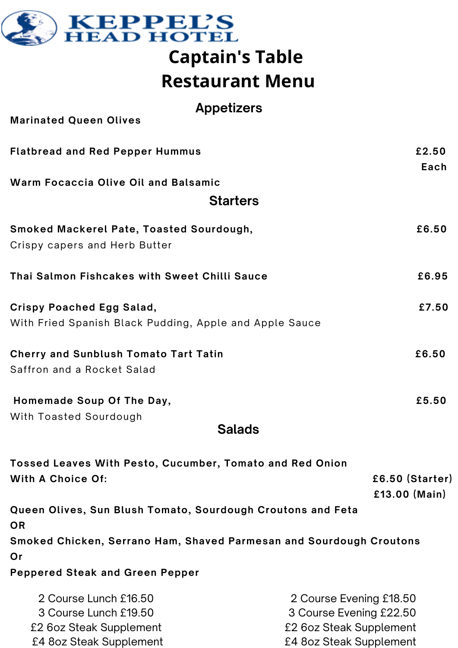

## **Captain's Table Restaurant Menu**

**Marinated Queen Olives Flatbread and Red Pepper Hummus £2.50 Each Warm Focaccia Olive Oil and Balsamic Smoked Mackerel Pate, Toasted Sourdough, £6.50** Crispy capers and Herb Butter **Thai Salmon Fishcakes with Sweet Chilli Sauce £6.95 Crispy Poached Egg Salad, £7.50** With Fried Spanish Black Pudding, Apple and Apple Sauce **Cherry and Sunblush Tomato Tart Tatin £6.50** Saffron and a Rocket Salad **Homemade Soup Of The Day, £5.50** With Toasted Sourdough **Tossed Leaves With Pesto, Cucumber, Tomato and Red Onion Starters Appetizers Salads**

**With A Choice Of: £6.50 (Starter) £13.00 (Main) Queen Olives, Sun Blush Tomato, Sourdough Croutons and Feta OR Smoked Chicken, Serrano Ham, Shaved Parmesan and Sourdough Croutons Or Peppered Steak and Green Pepper**

| 2 Course Lunch £16.50   | 2 Course Evening £18.50 |
|-------------------------|-------------------------|
| 3 Course Lunch £19.50   | 3 Course Evening £22.50 |
| £2 6oz Steak Supplement | £2 6oz Steak Supplement |
| £4 8oz Steak Supplement | £4 8oz Steak Supplement |